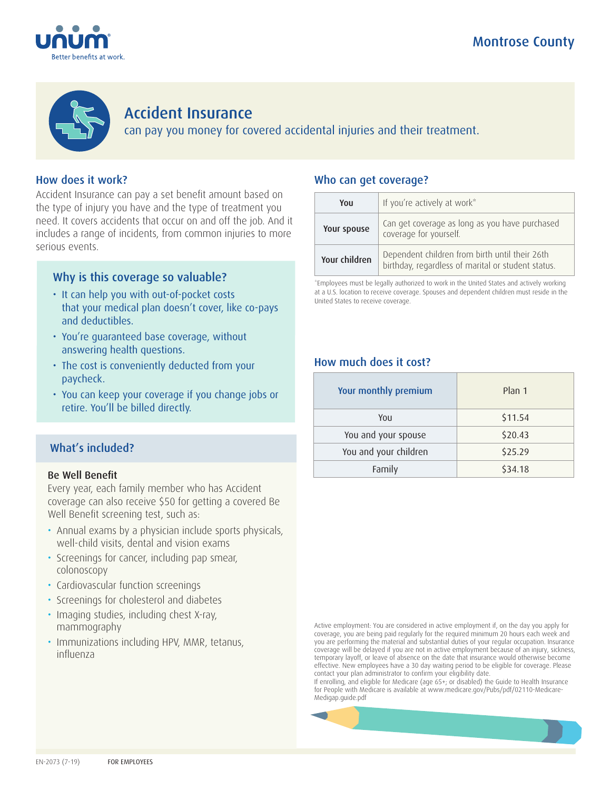



# Accident Insurance

can pay you money for covered accidental injuries and their treatment.

## How does it work?

Accident Insurance can pay a set benefit amount based on the type of injury you have and the type of treatment you need. It covers accidents that occur on and off the job. And it includes a range of incidents, from common injuries to more serious events.

## Why is this coverage so valuable?

- It can help you with out-of-pocket costs that your medical plan doesn't cover, like co-pays and deductibles.
- You're guaranteed base coverage, without answering health questions.
- The cost is conveniently deducted from your paycheck.
- You can keep your coverage if you change jobs or retire. You'll be billed directly.

### What's included?

### Be Well Benefit

Every year, each family member who has Accident coverage can also receive \$50 for getting a covered Be Well Benefit screening test, such as:

- Annual exams by a physician include sports physicals, well-child visits, dental and vision exams
- Screenings for cancer, including pap smear, colonoscopy
- Cardiovascular function screenings
- Screenings for cholesterol and diabetes
- Imaging studies, including chest X-ray, mammography
- Immunizations including HPV, MMR, tetanus, influenza

### Who can get coverage?

| Υοιι          | If you're actively at work*                                                                          |
|---------------|------------------------------------------------------------------------------------------------------|
| Your spouse   | Can get coverage as long as you have purchased<br>coverage for yourself.                             |
| Your children | Dependent children from birth until their 26th<br>birthday, regardless of marital or student status. |

\*Employees must be legally authorized to work in the United States and actively working at a U.S. location to receive coverage. Spouses and dependent children must reside in the United States to receive coverage.

### How much does it cost?

| Your monthly premium  | Plan 1  |
|-----------------------|---------|
| You                   | \$11.54 |
| You and your spouse   | \$20.43 |
| You and your children | \$25.29 |
| Family                | \$34.18 |

Active employment: You are considered in active employment if, on the day you apply for coverage, you are being paid regularly for the required minimum 20 hours each week and you are performing the material and substantial duties of your regular occupation. Insurance coverage will be delayed if you are not in active employment because of an injury, sickness, temporary layoff, or leave of absence on the date that insurance would otherwise become effective. New employees have a 30 day waiting period to be eligible for coverage. Please contact your plan administrator to confirm your eligibility date.

If enrolling, and eligible for Medicare (age 65+; or disabled) the Guide to Health Insurance for People with Medicare is available at www.medicare.gov/Pubs/pdf/02110-Medicare-Medigap.guide.pdf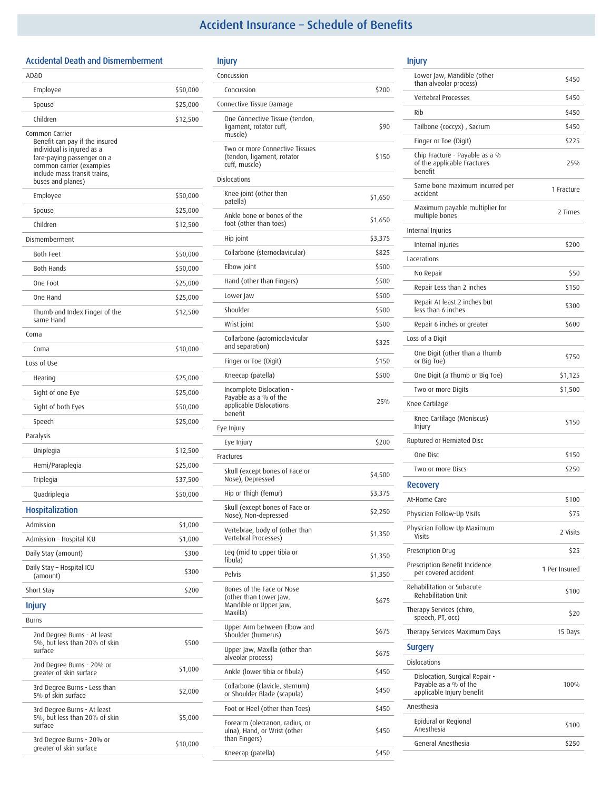## Accident Insurance – Schedule of Benefits

#### Accidental Death and Dismemberment

| AD&D                                                                                                                                                                                          |          |
|-----------------------------------------------------------------------------------------------------------------------------------------------------------------------------------------------|----------|
| Employee                                                                                                                                                                                      | \$50,000 |
| Spouse                                                                                                                                                                                        | \$25,000 |
| Children                                                                                                                                                                                      | \$12,500 |
| Common Carrier<br>Benefit can pay if the insured<br>individual is injured as a<br>fare-paying passenger on a<br>common carrier (examples<br>include mass transit trains,<br>buses and planes) |          |
| Employee                                                                                                                                                                                      | \$50,000 |
| Spouse                                                                                                                                                                                        | \$25,000 |
| Children                                                                                                                                                                                      | \$12,500 |
| Dismemberment                                                                                                                                                                                 |          |
| <b>Both Feet</b>                                                                                                                                                                              | \$50,000 |
| Both Hands                                                                                                                                                                                    | \$50,000 |
| One Foot                                                                                                                                                                                      | \$25,000 |
| One Hand                                                                                                                                                                                      | \$25,000 |
| Thumb and Index Finger of the<br>same Hand                                                                                                                                                    | \$12,500 |
| Coma                                                                                                                                                                                          |          |
| Coma                                                                                                                                                                                          | \$10,000 |
| Loss of Use                                                                                                                                                                                   |          |
| Hearing                                                                                                                                                                                       | \$25,000 |
| Sight of one Eye                                                                                                                                                                              | \$25,000 |
| Sight of both Eyes                                                                                                                                                                            | \$50,000 |
| Speech                                                                                                                                                                                        | \$25,000 |
| Paralysis                                                                                                                                                                                     |          |
| Uniplegia                                                                                                                                                                                     | \$12,500 |
| Hemi/Paraplegia                                                                                                                                                                               | \$25,000 |
| Triplegia                                                                                                                                                                                     | \$37,500 |
| Quadriplegia                                                                                                                                                                                  | \$50,000 |
| <b>Hospitalization</b>                                                                                                                                                                        |          |
| Admission                                                                                                                                                                                     | \$1,000  |
| Admission - Hospital ICU                                                                                                                                                                      | \$1,000  |
| Daily Stay (amount)                                                                                                                                                                           | \$300    |
| Daily Stay - Hospital ICU<br>(amount)                                                                                                                                                         | \$300    |
| Short Stay                                                                                                                                                                                    | \$200    |
| <b>Injury</b>                                                                                                                                                                                 |          |
| Burns                                                                                                                                                                                         |          |
| 2nd Degree Burns - At least<br>5%, but less than 20% of skin<br>surface                                                                                                                       | \$500    |
| 2nd Degree Burns - 20% or<br>greater of skin surface                                                                                                                                          | \$1,000  |
| 3rd Degree Burns - Less than<br>5% of skin surface                                                                                                                                            | \$2,000  |
| 3rd Degree Burns - At least<br>5%, but less than 20% of skin<br>surface                                                                                                                       | \$5,000  |
| 3rd Degree Burns - 20% or<br>greater of skin surface                                                                                                                                          | \$10,000 |

| Injury                                                                                    |         |
|-------------------------------------------------------------------------------------------|---------|
| Concussion                                                                                |         |
| Concussion                                                                                | \$200   |
| Connective Tissue Damage                                                                  |         |
| One Connective Tissue (tendon,<br>ligament, rotator cuff,<br>muscle)                      | \$90    |
| Two or more Connective Tissues<br>(tendon, ligament, rotator<br>cuff, muscle)             | \$150   |
| Dislocations                                                                              |         |
| Knee joint (other than<br>patella)                                                        | \$1,650 |
| Ankle bone or bones of the<br>foot (other than toes)                                      | \$1,650 |
| Hip joint                                                                                 | \$3,375 |
| Collarbone (sternoclavicular)                                                             | \$825   |
| Elbow joint                                                                               | \$500   |
| Hand (other than Fingers)                                                                 | \$500   |
| Lower Jaw                                                                                 | \$500   |
| Shoulder                                                                                  | \$500   |
| Wrist joint                                                                               | \$500   |
| Collarbone (acromioclavicular<br>and separation)                                          | \$325   |
| Finger or Toe (Digit)                                                                     | \$150   |
| Kneecap (patella)                                                                         | \$500   |
| Incomplete Dislocation -<br>Payable as a % of the<br>applicable Dislocations<br>benefit   | 25%     |
| Eye Injury                                                                                |         |
| Eye Injury                                                                                | \$200   |
| Fractures                                                                                 |         |
| Skull (except bones of Face or<br>Nose), Depressed                                        | \$4,500 |
| Hip or Thigh (femur)                                                                      | \$3,375 |
| Skull (except bones of Face or<br>Nose), Non-depressed                                    | \$2,250 |
| Vertebrae, body of (other than<br>Vertebral Processes)                                    | \$1,350 |
| Leg (mid to upper tibia or<br>fibula)                                                     | \$1,350 |
| Pelvis                                                                                    | \$1,350 |
| Bones of the Face or Nose<br>(other than Lower Jaw.<br>Mandible or Upper Jaw,<br>Maxilla) | \$675   |
| Upper Arm between Elbow and<br>Shoulder (humerus)                                         | \$675   |
| Upper Jaw, Maxilla (other than<br>alveolar process)                                       | \$675   |
| Ankle (lower tibia or fibula)                                                             | \$450   |
| Collarbone (clavicle, sternum)<br>or Shoulder Blade (scapula)                             | \$450   |
| Foot or Heel (other than Toes)                                                            | \$450   |
| Forearm (olecranon, radius, or<br>ulna), Hand, or Wrist (other<br>than Fingers)           | \$450   |
| Kneecap (patella)                                                                         | \$450   |

### Injury

| mgury                                                                                |               |
|--------------------------------------------------------------------------------------|---------------|
| Lower Jaw, Mandible (other<br>than alveolar process)                                 | \$450         |
| <b>Vertebral Processes</b>                                                           | \$450         |
| Rih                                                                                  | \$450         |
| Tailbone (coccyx), Sacrum                                                            | \$450         |
| Finger or Toe (Digit)                                                                | \$225         |
| Chip Fracture - Payable as a %<br>of the applicable Fractures<br>benefit             | 25%           |
| Same bone maximum incurred per<br>accident                                           | 1 Fracture    |
| Maximum payable multiplier for<br>multiple bones                                     | 2 Times       |
| Internal Injuries                                                                    |               |
| Internal Injuries                                                                    | \$200         |
| Lacerations                                                                          |               |
| No Repair                                                                            | \$50          |
| Repair Less than 2 inches                                                            | \$150         |
| Repair At least 2 inches but<br>less than 6 inches                                   | \$300         |
| Repair 6 inches or greater                                                           | \$600         |
| Loss of a Digit                                                                      |               |
| One Digit (other than a Thumb<br>or Big Toe)                                         | \$750         |
| One Digit (a Thumb or Big Toe)                                                       | \$1,125       |
| Two or more Digits                                                                   | \$1,500       |
| Knee Cartilage                                                                       |               |
| Knee Cartilage (Meniscus)<br>Injury                                                  | \$150         |
| Ruptured or Herniated Disc                                                           |               |
| One Disc                                                                             | \$150         |
| Two or more Discs                                                                    | \$250         |
| <b>Recovery</b>                                                                      |               |
| At-Home Care                                                                         | \$100         |
| Physician Follow-Up Visits                                                           | \$75          |
| Physician Follow-Up Maximum<br>Visits                                                | 2 Visits      |
| Prescription Drug                                                                    | \$25          |
| Prescription Benefit Incidence<br>per covered accident                               | 1 Per Insured |
| Rehabilitation or Subacute<br><b>Rehabilitation Unit</b>                             | \$100         |
| Therapy Services (chiro,<br>speech, PT, occ)                                         | \$20          |
| Therapy Services Maximum Days                                                        | 15 Days       |
| Surgery                                                                              |               |
| Dislocations                                                                         |               |
| Dislocation, Surgical Repair -<br>Payable as a % of the<br>applicable Injury benefit | 100%          |
| Anesthesia                                                                           |               |
| Epidural or Regional<br>Anesthesia                                                   | \$100         |
| General Anesthesia                                                                   | \$250         |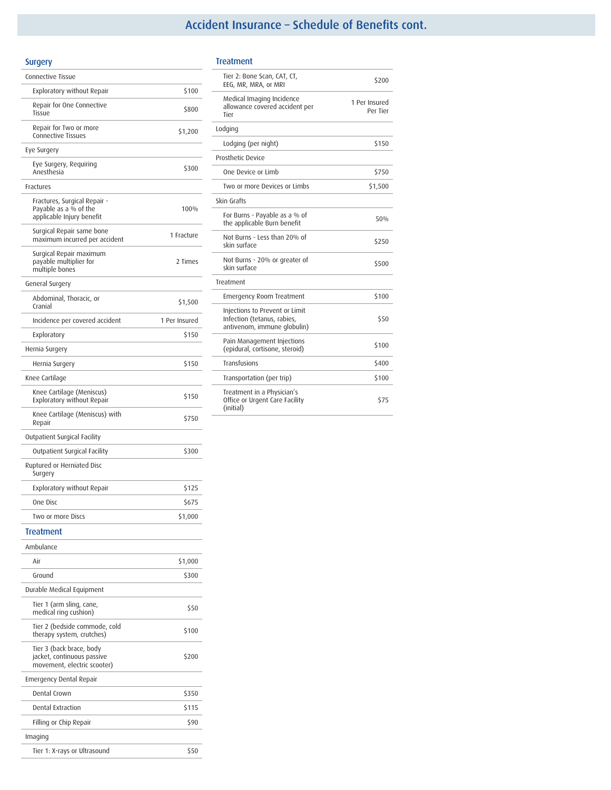# Accident Insurance – Schedule of Benefits cont.

| Surgery                                                                               |               |
|---------------------------------------------------------------------------------------|---------------|
| Connective Tissue                                                                     |               |
| Exploratory without Repair                                                            | \$100         |
| Repair for One Connective<br>Tissue                                                   | \$800         |
| Repair for Two or more<br><b>Connective Tissues</b>                                   | \$1,200       |
| Eye Surgery                                                                           |               |
| Eye Surgery, Requiring<br>Anesthesia                                                  | \$300         |
| Fractures                                                                             |               |
| Fractures, Surgical Repair -<br>Payable as a % of the<br>applicable Injury benefit    | 100%          |
| Surgical Repair same bone<br>maximum incurred per accident                            | 1 Fracture    |
| Surgical Repair maximum<br>payable multiplier for<br>multiple bones                   | 2 Times       |
| General Surgery                                                                       |               |
| Abdominal, Thoracic, or<br>Cranial                                                    | \$1,500       |
| Incidence per covered accident                                                        | 1 Per Insured |
| Exploratory                                                                           | \$150         |
| Hernia Surgery                                                                        |               |
| Hernia Surgery                                                                        | \$150         |
| Knee Cartilage                                                                        |               |
| Knee Cartilage (Meniscus)<br><b>Exploratory without Repair</b>                        | \$150         |
| Knee Cartilage (Meniscus) with<br>Repair                                              | \$750         |
| Outpatient Surgical Facility                                                          |               |
| Outpatient Surgical Facility                                                          | \$300         |
| Ruptured or Herniated Disc<br>Surgery                                                 |               |
| Exploratory without Repair                                                            | \$125         |
| One Disc                                                                              | \$675         |
| Two or more Discs                                                                     | \$1,000       |
| <b>Treatment</b>                                                                      |               |
| Ambulance                                                                             |               |
| Air                                                                                   | \$1,000       |
| Ground                                                                                | \$300         |
| Durable Medical Equipment                                                             |               |
| Tier 1 (arm sling, cane,<br>medical ring cushion)                                     | \$50          |
| Tier 2 (bedside commode, cold<br>therapy system, crutches)                            | \$100         |
| Tier 3 (back brace, body<br>jacket, continuous passive<br>movement, electric scooter) | \$200         |
| <b>Emergency Dental Repair</b>                                                        |               |
| Dental Crown                                                                          | \$350         |
| Dental Extraction                                                                     | \$115         |
| Filling or Chip Repair                                                                | \$90          |

Tier 1: X-rays or Ultrasound  $$50$ 

### Treatment

•

| Tier 2: Bone Scan, CAT, CT,<br>EEG, MR, MRA, or MRI                                          | \$200                     |
|----------------------------------------------------------------------------------------------|---------------------------|
| Medical Imaging Incidence<br>allowance covered accident per<br>Tier                          | 1 Per Insured<br>Per Tier |
| Lodging                                                                                      |                           |
| Lodging (per night)                                                                          | \$150                     |
| Prosthetic Device                                                                            |                           |
| One Device or Limb                                                                           | \$750                     |
| Two or more Devices or Limbs                                                                 | \$1,500                   |
| Skin Grafts                                                                                  |                           |
| For Burns - Payable as a % of<br>the applicable Burn benefit                                 | 50%                       |
| Not Burns - Less than 20% of<br>skin surface                                                 | \$250                     |
| Not Burns - 20% or greater of<br>skin surface                                                | \$500                     |
| Treatment                                                                                    |                           |
| <b>Emergency Room Treatment</b>                                                              | \$100                     |
| Injections to Prevent or Limit<br>Infection (tetanus, rabies,<br>antivenom, immune globulin) | \$50                      |
| Pain Management Injections<br>(epidural, cortisone, steroid)                                 | \$100                     |
| Transfusions                                                                                 | \$400                     |
| Transportation (per trip)                                                                    | \$100                     |
| Treatment in a Physician's<br>Office or Urgent Care Facility<br>(initial)                    | \$75                      |